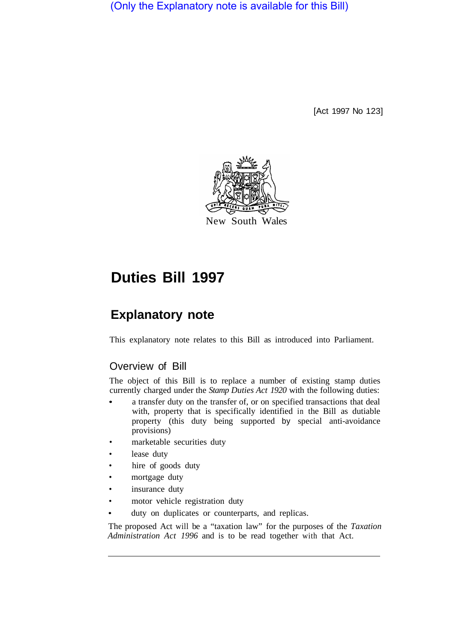(Only the Explanatory note is available for this Bill)

[Act 1997 No 123]



# **Duties Bill 1997**

# **Explanatory note**

This explanatory note relates to this Bill as introduced into Parliament.

# Overview of Bill

The object of this Bill is to replace a number of existing stamp duties currently charged under the *Stamp Duties Act 1920* with the following duties:

- a transfer duty on the transfer of, or on specified transactions that deal with, property that is specifically identified in the Bill as dutiable property (this duty being supported by special anti-avoidance provisions)
- marketable securities duty
- lease duty
- hire of goods duty
- mortgage duty
- insurance duty
- motor vehicle registration duty
- duty on duplicates or counterparts, and replicas.

The proposed Act will be a "taxation law" for the purposes of the *Taxation Administration Act 1996* and is to be read together with that Act.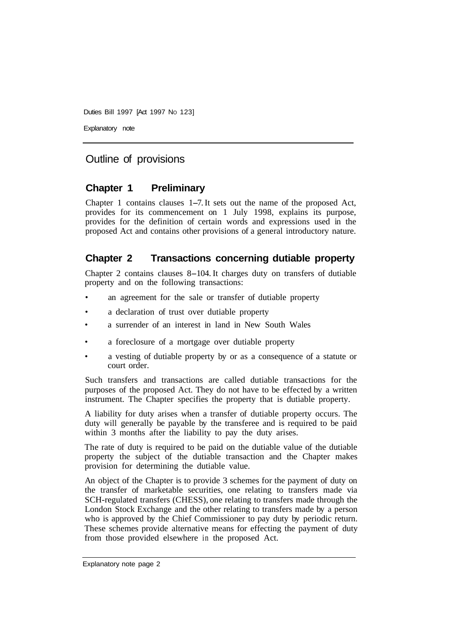Explanatory note

# Outline of provisions

#### **Chapter 1 Preliminary**

Chapter 1 contains clauses 1-7. It sets out the name of the proposed Act, provides for its commencement on 1 July 1998, explains its purpose, provides for the definition of certain words and expressions used in the proposed Act and contains other provisions of a general introductory nature.

#### **Chapter 2 Transactions concerning dutiable property**

Chapter 2 contains clauses 8-104. It charges duty on transfers of dutiable property and on the following transactions:

- an agreement for the sale or transfer of dutiable property
- a declaration of trust over dutiable property
- a surrender of an interest in land in New South Wales
- a foreclosure of a mortgage over dutiable property
- a vesting of dutiable property by or as a consequence of a statute or court order.

Such transfers and transactions are called dutiable transactions for the purposes of the proposed Act. They do not have to be effected by a written instrument. The Chapter specifies the property that is dutiable property.

A liability for duty arises when a transfer of dutiable property occurs. The duty will generally be payable by the transferee and is required to be paid within 3 months after the liability to pay the duty arises.

The rate of duty is required to be paid on the dutiable value of the dutiable property the subject of the dutiable transaction and the Chapter makes provision for determining the dutiable value.

An object of the Chapter is to provide 3 schemes for the payment of duty on the transfer of marketable securities, one relating to transfers made via SCH-regulated transfers (CHESS), one relating to transfers made through the London Stock Exchange and the other relating to transfers made by a person who is approved by the Chief Commissioner to pay duty by periodic return. These schemes provide alternative means for effecting the payment of duty from those provided elsewhere in the proposed Act.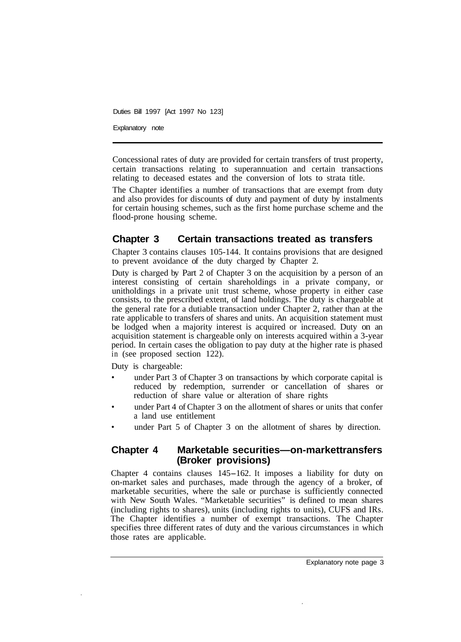Explanatory note

Concessional rates of duty are provided for certain transfers of trust property, certain transactions relating to superannuation and certain transactions relating to deceased estates and the conversion of lots to strata title.

The Chapter identifies a number of transactions that are exempt from duty and also provides for discounts of duty and payment of duty by instalments for certain housing schemes, such as the first home purchase scheme and the flood-prone housing scheme.

# **Chapter 3 Certain transactions treated as transfers**

Chapter 3 contains clauses 105-144. It contains provisions that are designed to prevent avoidance of the duty charged by Chapter 2.

Duty is charged by Part 2 of Chapter 3 on the acquisition by a person of an interest consisting of certain shareholdings in a private company, or unitholdings in a private unit trust scheme, whose property in either case consists, to the prescribed extent, of land holdings. The duty is chargeable at the general rate for a dutiable transaction under Chapter 2, rather than at the rate applicable to transfers of shares and units. An acquisition statement must be lodged when a majority interest is acquired or increased. Duty on an acquisition statement is chargeable only on interests acquired within a 3-year period. In certain cases the obligation to pay duty at the higher rate is phased in (see proposed section 122).

Duty is chargeable:

- under Part 3 of Chapter 3 on transactions by which corporate capital is reduced by redemption, surrender or cancellation of shares or reduction of share value or alteration of share rights
- under Part 4 of Chapter 3 on the allotment of shares or units that confer a land use entitlement
- under Part 5 of Chapter 3 on the allotment of shares by direction.

#### **Chapter 4 Marketable securities—on-markettransfers (Broker provisions)**

Chapter 4 contains clauses 145-162. It imposes a liability for duty on on-market sales and purchases, made through the agency of a broker, of marketable securities, where the sale or purchase is sufficiently connected with New South Wales. "Marketable securities" is defined to mean shares (including rights to shares), units (including rights to units), CUFS and IRs. The Chapter identifies a number of exempt transactions. The Chapter specifies three different rates of duty and the various circumstances in which those rates are applicable.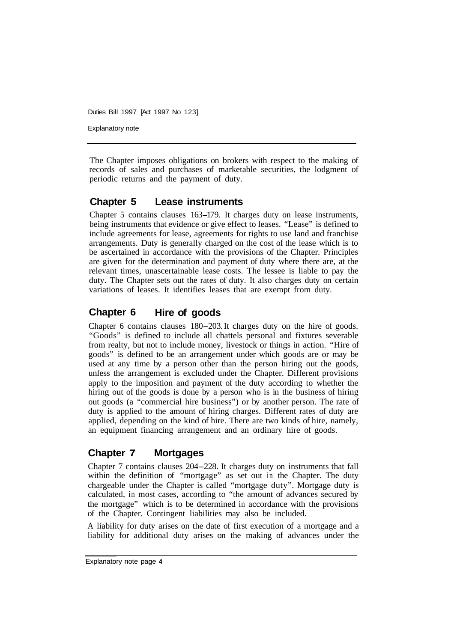Explanatory note

The Chapter imposes obligations on brokers with respect to the making of records of sales and purchases of marketable securities, the lodgment of periodic returns and the payment of duty.

#### **Chapter 5 Lease instruments**

Chapter 5 contains clauses 163–179. It charges duty on lease instruments, being instruments that evidence or give effect to leases. "Lease" is defined to include agreements for lease, agreements for rights to use land and franchise arrangements. Duty is generally charged on the cost of the lease which is to be ascertained in accordance with the provisions of the Chapter. Principles are given for the determination and payment of duty where there are, at the relevant times, unascertainable lease costs. The lessee is liable to pay the duty. The Chapter sets out the rates of duty. It also charges duty on certain variations of leases. It identifies leases that are exempt from duty.

# **Chapter 6 Hire of goods**

Chapter 6 contains clauses 180-203. It charges duty on the hire of goods. "Goods" is defined to include all chattels personal and fixtures severable from realty, but not to include money, livestock or things in action. "Hire of goods" is defined to be an arrangement under which goods are or may be used at any time by a person other than the person hiring out the goods, unless the arrangement is excluded under the Chapter. Different provisions apply to the imposition and payment of the duty according to whether the hiring out of the goods is done by a person who is in the business of hiring out goods (a "commercial hire business") or by another person. The rate of duty is applied to the amount of hiring charges. Different rates of duty are applied, depending on the kind of hire. There are two kinds of hire, namely, an equipment financing arrangement and an ordinary hire of goods.

# **Chapter 7 Mortgages**

Chapter 7 contains clauses 204-228. It charges duty on instruments that fall within the definition of "mortgage" as set out in the Chapter. The duty chargeable under the Chapter is called "mortgage duty". Mortgage duty is calculated, in most cases, according to "the amount of advances secured by the mortgage" which is to be determined in accordance with the provisions of the Chapter. Contingent liabilities may also be included.

A liability for duty arises on the date of first execution of a mortgage and a liability for additional duty arises on the making of advances under the

Explanatory note page **4**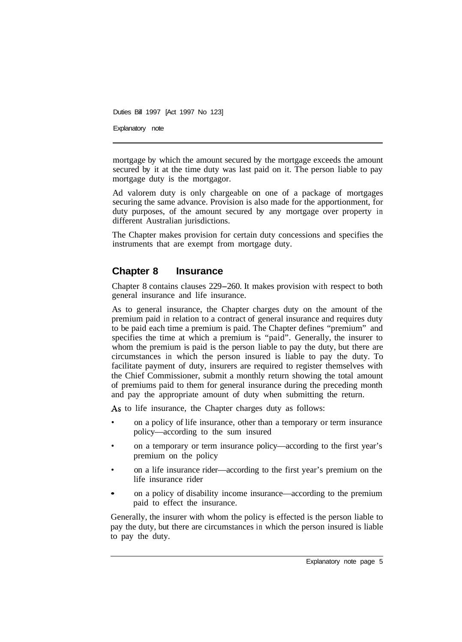Explanatory note

mortgage by which the amount secured by the mortgage exceeds the amount secured by it at the time duty was last paid on it. The person liable to pay mortgage duty is the mortgagor.

Ad valorem duty is only chargeable on one of a package of mortgages securing the same advance. Provision is also made for the apportionment, for duty purposes, of the amount secured by any mortgage over property in different Australian jurisdictions.

The Chapter makes provision for certain duty concessions and specifies the instruments that are exempt from mortgage duty.

# **Chapter 8 Insurance**

Chapter 8 contains clauses 229-260. It makes provision with respect to both general insurance and life insurance.

As to general insurance, the Chapter charges duty on the amount of the premium paid in relation to a contract of general insurance and requires duty to be paid each time a premium is paid. The Chapter defines "premium" and specifies the time at which a premium is "paid". Generally, the insurer to whom the premium is paid is the person liable to pay the duty, but there are circumstances in which the person insured is liable to pay the duty. To facilitate payment of duty, insurers are required to register themselves with the Chief Commissioner, submit a monthly return showing the total amount of premiums paid to them for general insurance during the preceding month and pay the appropriate amount of duty when submitting the return.

As to life insurance, the Chapter charges duty as follows:

- on a policy of life insurance, other than a temporary or term insurance policy—according to the sum insured
- on a temporary or term insurance policy—according to the first year's premium on the policy
- on a life insurance rider—according to the first year's premium on the life insurance rider
- on a policy of disability income insurance—according to the premium paid to effect the insurance.

Generally, the insurer with whom the policy is effected is the person liable to pay the duty, but there are circumstances in which the person insured is liable to pay the duty.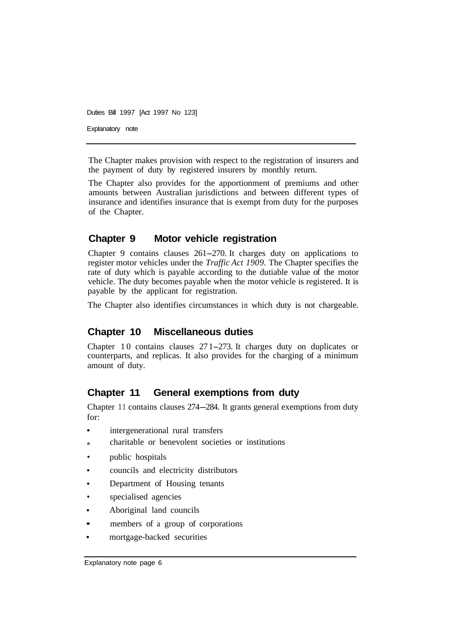Duties Bill 1997 [Act 1997 No 123] Explanatory note

The Chapter makes provision with respect to the registration of insurers and the payment of duty by registered insurers by monthly return.

The Chapter also provides for the apportionment of premiums and other amounts between Australian jurisdictions and between different types of insurance and identifies insurance that is exempt from duty for the purposes of the Chapter.

# **Chapter 9 Motor vehicle registration**

Chapter 9 contains clauses 261-270. It charges duty on applications to register motor vehicles under the *Traffic Act 1909.* The Chapter specifies the rate of duty which is payable according to the dutiable value of the motor vehicle. The duty becomes payable when the motor vehicle is registered. It is payable by the applicant for registration.

The Chapter also identifies circumstances in which duty is not chargeable.

# **Chapter 10 Miscellaneous duties**

Chapter 10 contains clauses 27 1-273. It charges duty on duplicates or counterparts, and replicas. It also provides for the charging of a minimum amount of duty.

# **Chapter 11 General exemptions from duty**

Chapter 11 contains clauses 274–284. It grants general exemptions from duty for:

- intergenerational rural transfers
- **a** charitable or benevolent societies or institutions
- public hospitals
- councils and electricity distributors
- Department of Housing tenants
- specialised agencies
- Aboriginal land councils
- members of a group of corporations
- mortgage-backed securities